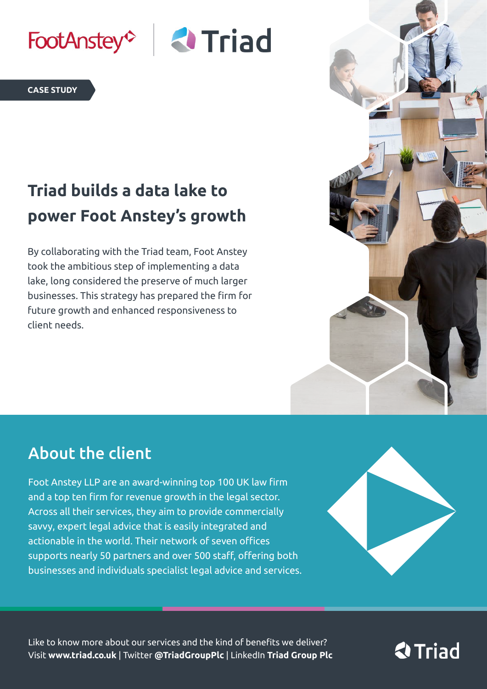

#### **CASE STUDY**

# **Triad builds a data lake to power Foot Anstey's growth**

By collaborating with the Triad team, Foot Anstey took the ambitious step of implementing a data lake, long considered the preserve of much larger businesses. This strategy has prepared the firm for future growth and enhanced responsiveness to client needs.



#### About the client

Foot Anstey LLP are an award-winning top 100 UK law firm and a top ten firm for revenue growth in the legal sector. Across all their services, they aim to provide commercially savvy, expert legal advice that is easily integrated and actionable in the world. Their network of seven offices supports nearly 50 partners and over 500 staff, offering both businesses and individuals specialist legal advice and services.



Like to know more about our services and the kind of benefits we deliver? Visit **www.triad.co.uk** | Twitter **@TriadGroupPlc** | LinkedIn **Triad Group Plc**

# **& Triad**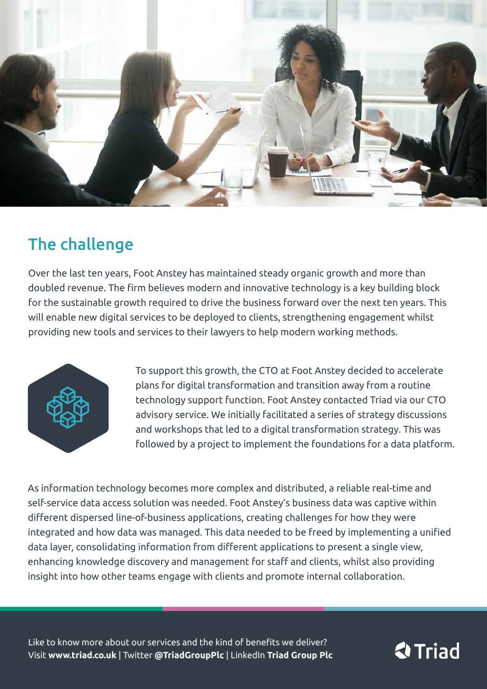

## The challenge

Over the last ten years, Foot Anstey has maintained steady organic growth and more than doubled revenue. The firm believes modern and innovative technology is a key building block for the sustainable growth required to drive the business forward over the next ten years. This will enable new digital services to be deployed to clients, strengthening engagement whilst providing new tools and services to their lawyers to help modern working methods.



To support this growth, the CTO at Foot Anstey decided to accelerate plans for digital transformation and transition away from a routine technology support function. Foot Anstey contacted Triad via our CTO advisory service. We initially facilitated a series of strategy discussions and workshops that led to a digital transformation strategy. This was followed by a project to implement the foundations for a data platform.

As information technology becomes more complex and distributed, a reliable real-time and self-service data access solution was needed. Foot Anstey's business data was captive within different dispersed line-of-business applications, creating challenges for how they were integrated and how data was managed. This data needed to be freed by implementing a unified data layer, consolidating information from different applications to present a single view, enhancing knowledge discovery and management for staff and clients, whilst also providing insight into how other teams engage with clients and promote internal collaboration.

Like to know more about our services and the kind of benefits we deliver? Visit **www.triad.co.uk** | Twitter **@TriadGroupPlc** | LinkedIn **Triad Group Plc**

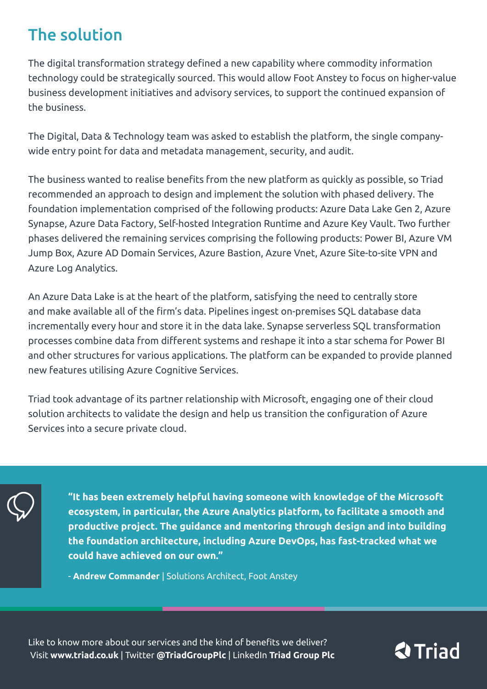## The solution

The digital transformation strategy defined a new capability where commodity information technology could be strategically sourced. This would allow Foot Anstey to focus on higher-value business development initiatives and advisory services, to support the continued expansion of the business.

The Digital, Data & Technology team was asked to establish the platform, the single companywide entry point for data and metadata management, security, and audit.

The business wanted to realise benefits from the new platform as quickly as possible, so Triad recommended an approach to design and implement the solution with phased delivery. The foundation implementation comprised of the following products: Azure Data Lake Gen 2, Azure Synapse, Azure Data Factory, Self-hosted Integration Runtime and Azure Key Vault. Two further phases delivered the remaining services comprising the following products: Power BI, Azure VM Jump Box, Azure AD Domain Services, Azure Bastion, Azure Vnet, Azure Site-to-site VPN and Azure Log Analytics.

An Azure Data Lake is at the heart of the platform, satisfying the need to centrally store and make available all of the firm's data. Pipelines ingest on-premises SQL database data incrementally every hour and store it in the data lake. Synapse serverless SQL transformation processes combine data from different systems and reshape it into a star schema for Power BI and other structures for various applications. The platform can be expanded to provide planned new features utilising Azure Cognitive Services.

Triad took advantage of its partner relationship with Microsoft, engaging one of their cloud solution architects to validate the design and help us transition the configuration of Azure Services into a secure private cloud.



**"It has been extremely helpful having someone with knowledge of the Microsoft ecosystem, in particular, the Azure Analytics platform, to facilitate a smooth and productive project. The guidance and mentoring through design and into building the foundation architecture, including Azure DevOps, has fast-tracked what we could have achieved on our own."**

- **Andrew Commander** | Solutions Architect, Foot Anstey

Like to know more about our services and the kind of benefits we deliver? Visit **[www.triad.co.uk](http://www.triad.co.uk)** | Twitter **[@TriadGroupPlc](https://twitter.com/triadgroupplc?lang=en)** | LinkedIn **[Triad Group Plc](https://www.linkedin.com/company/triadgroupplc/)**

# **2** Triad